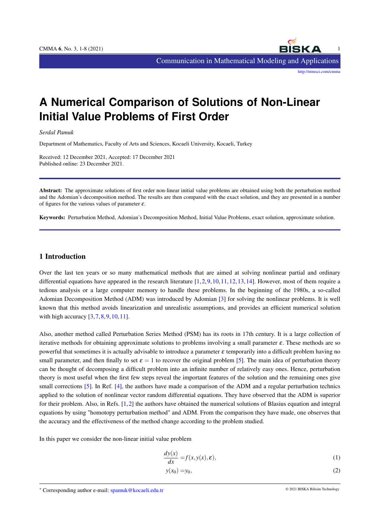# **A Numerical Comparison of Solutions of Non-Linear Initial Value Problems of First Order**

*Serdal Pamuk*

Department of Mathematics, Faculty of Arts and Sciences, Kocaeli University, Kocaeli, Turkey

Received: 12 December 2021, Accepted: 17 December 2021 Published online: 23 December 2021.

Abstract: The approximate solutions of first order non-linear initial value problems are obtained using both the perturbation method and the Adomian's decomposition method. The results are then compared with the exact solution, and they are presented in a number of figures for the various values of parameter  $\varepsilon$ .

Keywords: Perturbation Method, Adomian's Decomposition Method, Initial Value Problems, exact solution, approximate solution.

# 1 Introduction

Over the last ten years or so many mathematical methods that are aimed at solving nonlinear partial and ordinary differential equations have appeared in the research literature  $[1,2,9,10,11,12,13,14]$  $[1,2,9,10,11,12,13,14]$  $[1,2,9,10,11,12,13,14]$  $[1,2,9,10,11,12,13,14]$  $[1,2,9,10,11,12,13,14]$  $[1,2,9,10,11,12,13,14]$  $[1,2,9,10,11,12,13,14]$  $[1,2,9,10,11,12,13,14]$ . However, most of them require a tedious analysis or a large computer memory to handle these problems. In the beginning of the 1980s, a so-called Adomian Decomposition Method (ADM) was introduced by Adomian [\[3\]](#page-6-7) for solving the nonlinear problems. It is well known that this method avoids linearization and unrealistic assumptions, and provides an efficient numerical solution with high accuracy  $[3,7,8,9,10,11]$  $[3,7,8,9,10,11]$  $[3,7,8,9,10,11]$  $[3,7,8,9,10,11]$  $[3,7,8,9,10,11]$  $[3,7,8,9,10,11]$ .

Also, another method called Perturbation Series Method (PSM) has its roots in 17th century. It is a large collection of iterative methods for obtaining approximate solutions to problems involving a small parameter  $\varepsilon$ . These methods are so powerful that sometimes it is actually advisable to introduce a parameter  $\varepsilon$  temporarily into a difficult problem having no small parameter, and then finally to set  $\varepsilon = 1$  to recover the original problem [\[5\]](#page-6-10). The main idea of perturbation theory can be thought of decomposing a difficult problem into an infinite number of relatively easy ones. Hence, perturbation theory is most useful when the first few steps reveal the important features of the solution and the remaining ones give small corrections [\[5\]](#page-6-10). In Ref. [\[4\]](#page-6-11), the authors have made a comparison of the ADM and a regular perturbation technics applied to the solution of nonlinear vector random differential equations. They have observed that the ADM is superior for their problem. Also, in Refs. [\[1,](#page-6-0)[2\]](#page-6-1) the authors have obtained the numerical solutions of Blasius equation and integral equations by using "homotopy perturbation method" and ADM. From the comparison they have made, one observes that the accuracy and the effectiveness of the method change according to the problem studied.

In this paper we consider the non-linear initial value problem

$$
\frac{dy(x)}{dx} = f(x, y(x), \varepsilon),\tag{1}
$$

$$
y(x_0) = y_0,\tag{2}
$$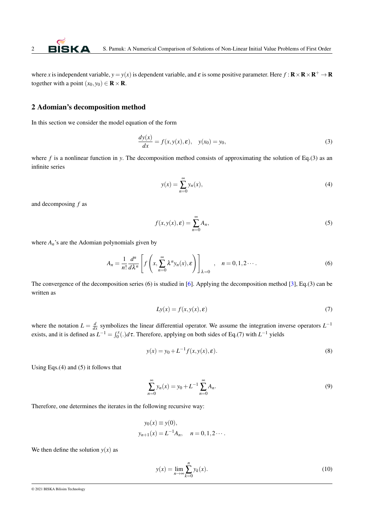where *x* is independent variable,  $y = y(x)$  is dependent variable, and  $\varepsilon$  is some positive parameter. Here  $f: \mathbf{R} \times \mathbf{R} \times \mathbf{R}^+ \to \mathbf{R}$ together with a point  $(x_0, y_0) \in \mathbf{R} \times \mathbf{R}$ .

#### 2 Adomian's decomposition method

In this section we consider the model equation of the form

$$
\frac{dy(x)}{dx} = f(x, y(x), \varepsilon), \quad y(x_0) = y_0,
$$
\n(3)

where *f* is a nonlinear function in *y*. The decomposition method consists of approximating the solution of Eq.(3) as an infinite series

$$
y(x) = \sum_{n=0}^{\infty} y_n(x),\tag{4}
$$

and decomposing *f* as

$$
f(x, y(x), \varepsilon) = \sum_{n=0}^{\infty} A_n,
$$
\n(5)

where  $A_n$ 's are the Adomian polynomials given by

$$
A_n = \frac{1}{n!} \frac{d^n}{d\lambda^n} \left[ f\left(x, \sum_{n=0}^{\infty} \lambda^n y_n(x), \varepsilon\right) \right]_{\lambda=0}, \quad n = 0, 1, 2 \cdots.
$$
 (6)

The convergence of the decomposition series (6) is studied in [\[6\]](#page-6-12). Applying the decomposition method [\[3\]](#page-6-7), Eq.(3) can be written as

$$
Ly(x) = f(x, y(x), \varepsilon)
$$
\n(7)

where the notation  $L = \frac{d}{dx}$  symbolizes the linear differential operator. We assume the integration inverse operators  $L^{-1}$ exists, and it is defined as  $L^{-1} = \int_0^x(.)d\tau$ . Therefore, applying on both sides of Eq.(7) with  $L^{-1}$  yields

$$
y(x) = y_0 + L^{-1} f(x, y(x), \varepsilon).
$$
 (8)

Using Eqs.(4) and (5) it follows that

$$
\sum_{n=0}^{\infty} y_n(x) = y_0 + L^{-1} \sum_{n=0}^{\infty} A_n.
$$
 (9)

Therefore, one determines the iterates in the following recursive way:

$$
y_0(x) \equiv y(0),
$$
  
\n $y_{n+1}(x) = L^{-1}A_n, \quad n = 0, 1, 2 \cdots.$ 

We then define the solution  $y(x)$  as

$$
y(x) = \lim_{n \to \infty} \sum_{k=0}^{n} y_k(x).
$$
 (10)

© 2021 BISKA Bilisim Technology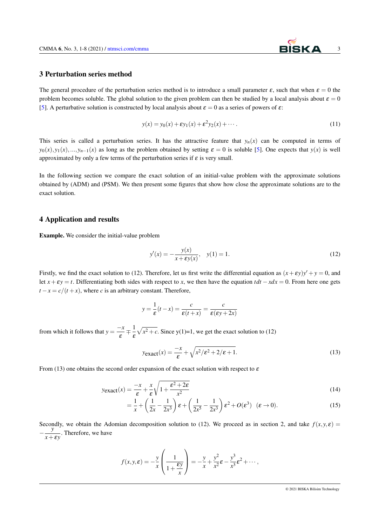### 3 Perturbation series method

The general procedure of the perturbation series method is to introduce a small parameter  $\varepsilon$ , such that when  $\varepsilon = 0$  the problem becomes soluble. The global solution to the given problem can then be studied by a local analysis about  $\varepsilon = 0$ [\[5\]](#page-6-10). A perturbative solution is constructed by local analysis about  $\varepsilon = 0$  as a series of powers of  $\varepsilon$ :

$$
y(x) = y_0(x) + \varepsilon y_1(x) + \varepsilon^2 y_2(x) + \cdots
$$
 (11)

This series is called a perturbation series. It has the attractive feature that  $y_n(x)$  can be computed in terms of  $y_0(x), y_1(x), \ldots, y_{n-1}(x)$  as long as the problem obtained by setting  $\varepsilon = 0$  is soluble [\[5\]](#page-6-10). One expects that  $y(x)$  is well approximated by only a few terms of the perturbation series if  $\varepsilon$  is very small.

In the following section we compare the exact solution of an initial-value problem with the approximate solutions obtained by (ADM) and (PSM). We then present some figures that show how close the approximate solutions are to the exact solution.

### 4 Application and results

Example. We consider the initial-value problem

$$
y'(x) = -\frac{y(x)}{x + \varepsilon y(x)}, \quad y(1) = 1.
$$
 (12)

Firstly, we find the exact solution to (12). Therefore, let us first write the differential equation as  $(x + \varepsilon y)y' + y = 0$ , and let  $x + \varepsilon y = t$ . Differentiating both sides with respect to *x*, we then have the equation  $tdt - xdx = 0$ . From here one gets  $t - x = c/(t + x)$ , where *c* is an arbitrary constant. Therefore,

$$
y = \frac{1}{\varepsilon}(t - x) = \frac{c}{\varepsilon(t + x)} = \frac{c}{\varepsilon(\varepsilon y + 2x)}
$$

from which it follows that  $y = \frac{-x}{2}$  $\frac{-x}{\varepsilon} \mp \frac{1}{\varepsilon}$ ε  $\sqrt{x^2 + c}$ . Since y(1)=1, we get the exact solution to (12)

$$
y_{\text{exact}}(x) = \frac{-x}{\varepsilon} + \sqrt{x^2/\varepsilon^2 + 2/\varepsilon + 1}.
$$
\n(13)

From (13) one obtains the second order expansion of the exact solution with respect to  $\varepsilon$ 

$$
y_{\text{exact}}(x) = \frac{-x}{\varepsilon} + \frac{x}{\varepsilon} \sqrt{1 + \frac{\varepsilon^2 + 2\varepsilon}{x^2}}
$$
(14)

$$
= \frac{1}{x} + \left(\frac{1}{2x} - \frac{1}{2x^3}\right)\varepsilon + \left(\frac{1}{2x^5} - \frac{1}{2x^3}\right)\varepsilon^2 + O(\varepsilon^3) \quad (\varepsilon \to 0).
$$
 (15)

Secondly, we obtain the Adomian decomposition solution to (12). We proceed as in section 2, and take  $f(x, y, \varepsilon) =$ − *y*  $\frac{y}{x+\epsilon y}$ . Therefore, we have

$$
f(x, y, \varepsilon) = -\frac{y}{x} \left( \frac{1}{1 + \frac{\varepsilon y}{x}} \right) = -\frac{y}{x} + \frac{y^2}{x^2} \varepsilon - \frac{y^3}{x^3} \varepsilon^2 + \cdots,
$$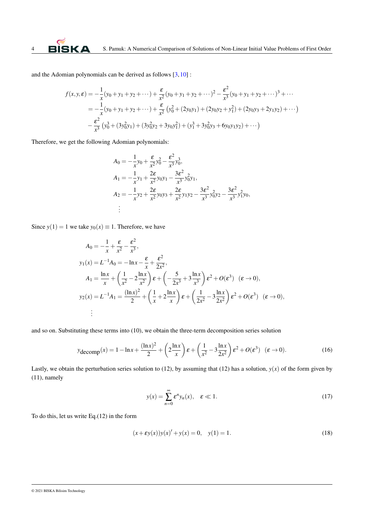and the Adomian polynomials can be derived as follows  $[3,10]$  $[3,10]$ :

$$
f(x, y, \varepsilon) = -\frac{1}{x}(y_0 + y_1 + y_2 + \cdots) + \frac{\varepsilon}{x^2}(y_0 + y_1 + y_2 + \cdots)^2 - \frac{\varepsilon^2}{x^3}(y_0 + y_1 + y_2 + \cdots)^3 + \cdots
$$
  
=  $-\frac{1}{x}(y_0 + y_1 + y_2 + \cdots) + \frac{\varepsilon}{x^2}(y_0^2 + (2y_0y_1) + (2y_0y_2 + y_1^2) + (2y_0y_3 + 2y_1y_2) + \cdots)$   
 $-\frac{\varepsilon^2}{x^3}(y_0^3 + (3y_0^2y_1) + (3y_0^2y_2 + 3y_0y_1^2) + (y_1^3 + 3y_0^2y_3 + 6y_0y_1y_2) + \cdots)$ 

Therefore, we get the following Adomian polynomials:

$$
A_0 = -\frac{1}{x}y_0 + \frac{\varepsilon}{x^2}y_0^2 - \frac{\varepsilon^2}{x^3}y_0^3,
$$
  
\n
$$
A_1 = -\frac{1}{x}y_1 + \frac{2\varepsilon}{x^2}y_0y_1 - \frac{3\varepsilon^2}{x^3}y_0^2y_1,
$$
  
\n
$$
A_2 = -\frac{1}{x}y_2 + \frac{2\varepsilon}{x^2}y_0y_3 + \frac{2\varepsilon}{x^2}y_1y_2 - \frac{3\varepsilon^2}{x^3}y_0^2y_2 - \frac{3\varepsilon^2}{x^3}y_1^2y_0,
$$
  
\n
$$
\vdots
$$

Since  $y(1) = 1$  we take  $y_0(x) \equiv 1$ . Therefore, we have

$$
A_0 = -\frac{1}{x} + \frac{\varepsilon}{x^2} - \frac{\varepsilon^2}{x^3},
$$
  
\n
$$
y_1(x) = L^{-1}A_0 = -\ln x - \frac{\varepsilon}{x} + \frac{\varepsilon^2}{2x^2},
$$
  
\n
$$
A_1 = \frac{\ln x}{x} + \left(\frac{1}{x^2} - 2\frac{\ln x}{x^2}\right)\varepsilon + \left(-\frac{5}{2x^3} + 3\frac{\ln x}{x^3}\right)\varepsilon^2 + O(\varepsilon^3) \quad (\varepsilon \to 0),
$$
  
\n
$$
y_2(x) = L^{-1}A_1 = \frac{(\ln x)^2}{2} + \left(\frac{1}{x} + 2\frac{\ln x}{x}\right)\varepsilon + \left(\frac{1}{2x^2} - 3\frac{\ln x}{2x^2}\right)\varepsilon^2 + O(\varepsilon^3) \quad (\varepsilon \to 0),
$$
  
\n
$$
\vdots
$$

and so on. Substituting these terms into (10), we obtain the three-term decomposition series solution

$$
y_{\text{decomp}}(x) = 1 - \ln x + \frac{(\ln x)^2}{2} + \left(2\frac{\ln x}{x}\right)\varepsilon + \left(\frac{1}{x^2} - 3\frac{\ln x}{2x^2}\right)\varepsilon^2 + O(\varepsilon^3) \quad (\varepsilon \to 0). \tag{16}
$$

Lastly, we obtain the perturbation series solution to (12), by assuming that (12) has a solution,  $y(x)$  of the form given by (11), namely

$$
y(x) = \sum_{n=0}^{\infty} \varepsilon^n y_n(x), \quad \varepsilon \ll 1.
$$
 (17)

To do this, let us write Eq.(12) in the form

$$
(x + \varepsilon y(x))y(x)' + y(x) = 0, \quad y(1) = 1.
$$
 (18)

#### © 2021 BISKA Bilisim Technology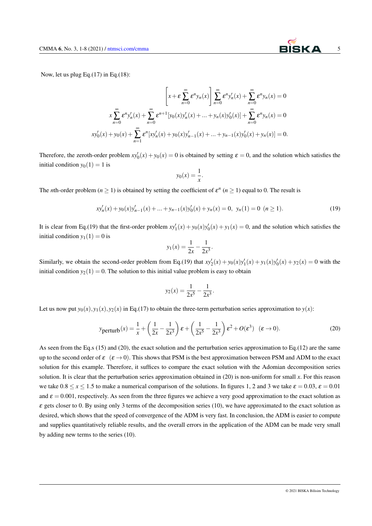

Now, let us plug Eq.(17) in Eq.(18):

$$
\left[x + \varepsilon \sum_{n=0}^{\infty} \varepsilon^{n} y_{n}(x)\right] \sum_{n=0}^{\infty} \varepsilon^{n} y'_{n}(x) + \sum_{n=0}^{\infty} \varepsilon^{n} y_{n}(x) = 0
$$

$$
x \sum_{n=0}^{\infty} \varepsilon^{n} y'_{n}(x) + \sum_{n=0}^{\infty} \varepsilon^{n+1} [y_{0}(x) y'_{n}(x) + \dots + y_{n}(x) y'_{0}(x)] + \sum_{n=0}^{\infty} \varepsilon^{n} y_{n}(x) = 0
$$

$$
xy'_{0}(x) + y_{0}(x) + \sum_{n=1}^{\infty} \varepsilon^{n} [xy'_{n}(x) + y_{0}(x) y'_{n-1}(x) + \dots + y_{n-1}(x) y'_{0}(x) + y_{n}(x)] = 0.
$$

Therefore, the zeroth-order problem  $xy'_0(x) + y_0(x) = 0$  is obtained by setting  $\varepsilon = 0$ , and the solution which satisfies the initial condition  $y_0(1) = 1$  is

$$
y_0(x) = \frac{1}{x}.
$$

The *n*th-order problem ( $n \ge 1$ ) is obtained by setting the coefficient of  $\varepsilon^n$  ( $n \ge 1$ ) equal to 0. The result is

$$
xy'_{n}(x) + y_{0}(x)y'_{n-1}(x) + \dots + y_{n-1}(x)y'_{0}(x) + y_{n}(x) = 0, \ y_{n}(1) = 0 \ (n \ge 1).
$$
 (19)

It is clear from Eq.(19) that the first-order problem  $xy'_1(x) + y_0(x)y'_0(x) + y_1(x) = 0$ , and the solution which satisfies the initial condition  $y_1(1) = 0$  is

$$
y_1(x) = \frac{1}{2x} - \frac{1}{2x^3}.
$$

Similarly, we obtain the second-order problem from Eq.(19) that  $xy'_2(x) + y_0(x)y'_1(x) + y_1(x)y'_0(x) + y_2(x) = 0$  with the initial condition  $y_2(1) = 0$ . The solution to this initial value problem is easy to obtain

$$
y_2(x) = \frac{1}{2x^5} - \frac{1}{2x^3}
$$

Let us now put  $y_0(x)$ ,  $y_1(x)$ ,  $y_2(x)$  in Eq.(17) to obtain the three-term perturbation series approximation to  $y(x)$ :

$$
yperturb(x) = \frac{1}{x} + \left(\frac{1}{2x} - \frac{1}{2x^3}\right)\varepsilon + \left(\frac{1}{2x^5} - \frac{1}{2x^3}\right)\varepsilon^2 + O(\varepsilon^3) \quad (\varepsilon \to 0).
$$
 (20)

.

As seen from the Eq.s (15) and (20), the exact solution and the perturbation series approximation to Eq.(12) are the same up to the second order of  $\varepsilon$  ( $\varepsilon \to 0$ ). This shows that PSM is the best approximation between PSM and ADM to the exact solution for this example. Therefore, it suffices to compare the exact solution with the Adomian decomposition series solution. It is clear that the perturbation series approximation obtained in (20) is non-uniform for small *x*. For this reason we take  $0.8 \le x \le 1.5$  to make a numerical comparison of the solutions. In figures 1, 2 and 3 we take  $\varepsilon = 0.03$ ,  $\varepsilon = 0.01$ and  $\varepsilon = 0.001$ , respectively. As seen from the three figures we achieve a very good approximation to the exact solution as  $\varepsilon$  gets closer to 0. By using only 3 terms of the decomposition series (10), we have approximated to the exact solution as desired, which shows that the speed of convergence of the ADM is very fast. In conclusion, the ADM is easier to compute and supplies quantitatively reliable results, and the overall errors in the application of the ADM can be made very small by adding new terms to the series (10).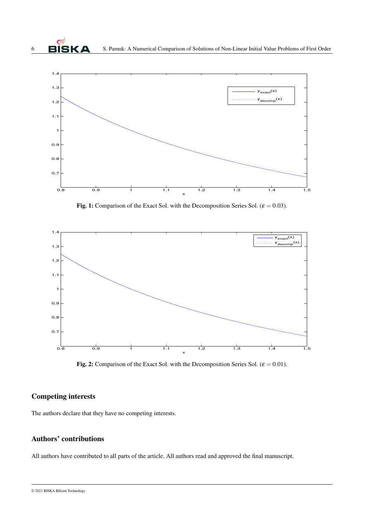

Fig. 1: Comparison of the Exact Sol. with the Decomposition Series Sol. ( $\varepsilon = 0.03$ ).



Fig. 2: Comparison of the Exact Sol. with the Decomposition Series Sol. ( $\varepsilon = 0.01$ ).

# Competing interests

The authors declare that they have no competing interests.

## Authors' contributions

All authors have contributed to all parts of the article. All authors read and approved the final manuscript.

<sup>© 2021</sup> BISKA Bilisim Technology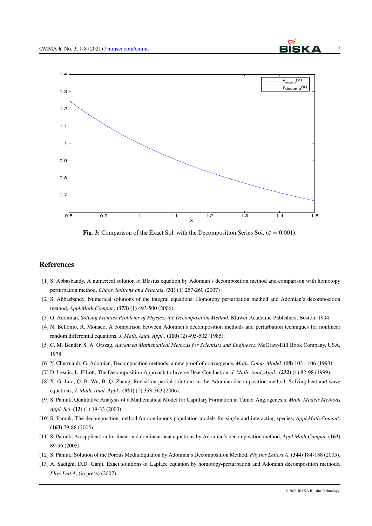

Fig. 3: Comparison of the Exact Sol. with the Decomposition Series Sol. ( $\varepsilon = 0.001$ ).

#### References

- <span id="page-6-0"></span>[1] S. Abbasbandy, A numerical solution of Blasius equation by Adomian's decomposition method and comparison with homotopy perturbation method, *Chaos, Solitons and Fractals*, (31) (1) 257-260 (2007) .
- <span id="page-6-1"></span>[2] S. Abbasbandy, Numerical solutions of the integral equations: Homotopy perturbation method and Adomian's decomposition method, *Appl.Math.Comput.*, (173) (1) 493-500 (2006).
- <span id="page-6-7"></span>[3] G. Adomian, *Solving Frontier Problems of Physics: the Decomposition Method*, Kluwer Academic Publishers, Boston, 1994.
- <span id="page-6-11"></span>[4] N. Bellomo, R. Monaco, A comparison between Adomian's decomposition methods and perturbation techniques for nonlinear random differential equations, *J. Math. Anal. Appl.*, (110) (2) 495-502 (1985).
- <span id="page-6-10"></span>[5] C. M. Bender, S. A. Orszag, *Advanced Mathematical Methods for Scientists and Engineers*, McGraw-Hill Book Company, USA, 1978.
- <span id="page-6-12"></span>[6] Y. Cherruault, G. Adomian, Decomposition methods: a new proof of convergence, *Math. Comp. Model.* (18) 103 - 106 (1993).
- <span id="page-6-8"></span>[7] D. Lesnic, L. Elliott, The Decomposition Approach to Inverse Heat Conduction, *J. Math. Anal. Appl.,* (232) (1) 82-98 (1999).
- <span id="page-6-9"></span>[8] X. G. Luo, Q. B. Wu, B. Q. Zhang, Revisit on partial solutions in the Adomian decomposition method: Solving heat and wave equations, *J. Math. Anal. Appl.,* (321) (1) 353-363 (2006).
- <span id="page-6-2"></span>[9] S. Pamuk, Qualitative Analysis of a Mathematical Model for Capillary Formation in Tumor Angiogenesis, *Math. Models Methods Appl. Sci*. (13) (1) 19-33 (2003).
- <span id="page-6-3"></span>[10] S. Pamuk, The decomposition method for continuous population models for single and interacting species, *Appl.Math.Comput*. (163) 79-88 (2005).
- <span id="page-6-4"></span>[11] S. Pamuk, An application for linear and nonlinear heat equations by Adomian's decomposition method, *Appl.Math.Comput.* (163) 89-96 (2005).
- <span id="page-6-5"></span>[12] S. Pamuk, Solution of the Porous Media Equation by Adomian's Decomposition Method, *Physics Letters A*, (344) 184-188 (2005).
- <span id="page-6-6"></span>[13] A. Sadighi, D.D. Ganji, Exact solutions of Laplace equation by homotopy-perturbation and Adomian decomposition methods, *Phys.Lett.A*, (in press) (2007).